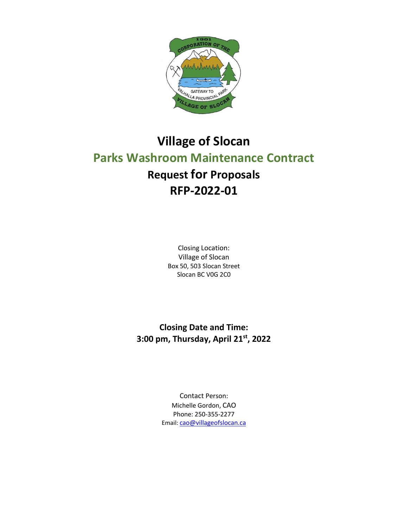

# **Village of Slocan Parks Washroom Maintenance Contract Request for Proposals RFP-2022-01**

Closing Location: Village of Slocan Box 50, 503 Slocan Street Slocan BC V0G 2C0

**Closing Date and Time: 3:00 pm, Thursday, April 21 st, 2022**

> Contact Person: Michelle Gordon, CAO Phone: 250-355-2277 Email: [cao@villageofslocan.ca](mailto:cao@villageofslocan.ca)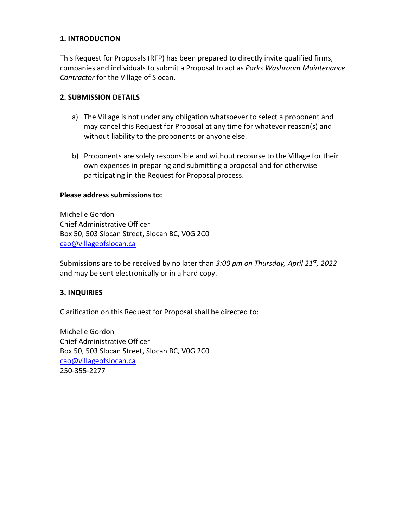#### **1. INTRODUCTION**

This Request for Proposals (RFP) has been prepared to directly invite qualified firms, companies and individuals to submit a Proposal to act as *Parks Washroom Maintenance Contractor* for the Village of Slocan.

#### **2. SUBMISSION DETAILS**

- a) The Village is not under any obligation whatsoever to select a proponent and may cancel this Request for Proposal at any time for whatever reason(s) and without liability to the proponents or anyone else.
- b) Proponents are solely responsible and without recourse to the Village for their own expenses in preparing and submitting a proposal and for otherwise participating in the Request for Proposal process.

#### **Please address submissions to:**

Michelle Gordon Chief Administrative Officer Box 50, 503 Slocan Street, Slocan BC, V0G 2C0 [cao@villageofslocan.ca](mailto:cao@villageofslocan.ca)

Submissions are to be received by no later than *3:00 pm on Thursday, April 21 st, 2022* and may be sent electronically or in a hard copy.

#### **3. INQUIRIES**

Clarification on this Request for Proposal shall be directed to:

Michelle Gordon Chief Administrative Officer Box 50, 503 Slocan Street, Slocan BC, V0G 2C0 [cao@villageofslocan.ca](mailto:cao@villageofslocan.ca) 250-355-2277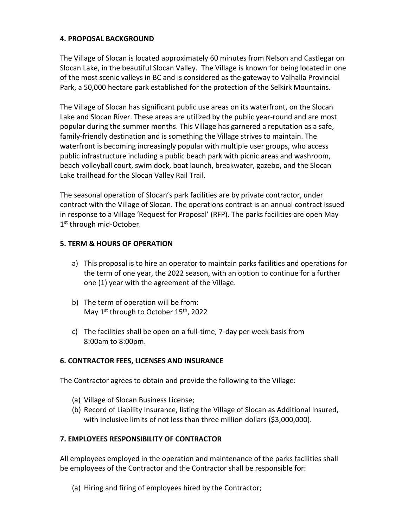#### **4. PROPOSAL BACKGROUND**

The Village of Slocan is located approximately 60 minutes from Nelson and Castlegar on Slocan Lake, in the beautiful Slocan Valley. The Village is known for being located in one of the most scenic valleys in BC and is considered as the gateway to Valhalla Provincial Park, a 50,000 hectare park established for the protection of the Selkirk Mountains.

The Village of Slocan has significant public use areas on its waterfront, on the Slocan Lake and Slocan River. These areas are utilized by the public year-round and are most popular during the summer months. This Village has garnered a reputation as a safe, family-friendly destination and is something the Village strives to maintain. The waterfront is becoming increasingly popular with multiple user groups, who access public infrastructure including a public beach park with picnic areas and washroom, beach volleyball court, swim dock, boat launch, breakwater, gazebo, and the Slocan Lake trailhead for the Slocan Valley Rail Trail.

The seasonal operation of Slocan's park facilities are by private contractor, under contract with the Village of Slocan. The operations contract is an annual contract issued in response to a Village 'Request for Proposal' (RFP). The parks facilities are open May 1st through mid-October.

#### **5. TERM & HOURS OF OPERATION**

- a) This proposal is to hire an operator to maintain parks facilities and operations for the term of one year, the 2022 season, with an option to continue for a further one (1) year with the agreement of the Village.
- b) The term of operation will be from: May  $1^{st}$  through to October  $15^{th}$ , 2022
- c) The facilities shall be open on a full-time, 7-day per week basis from 8:00am to 8:00pm.

# **6. CONTRACTOR FEES, LICENSES AND INSURANCE**

The Contractor agrees to obtain and provide the following to the Village:

- (a) Village of Slocan Business License;
- (b) Record of Liability Insurance, listing the Village of Slocan as Additional Insured, with inclusive limits of not less than three million dollars (\$3,000,000).

# **7. EMPLOYEES RESPONSIBILITY OF CONTRACTOR**

All employees employed in the operation and maintenance of the parks facilities shall be employees of the Contractor and the Contractor shall be responsible for:

(a) Hiring and firing of employees hired by the Contractor;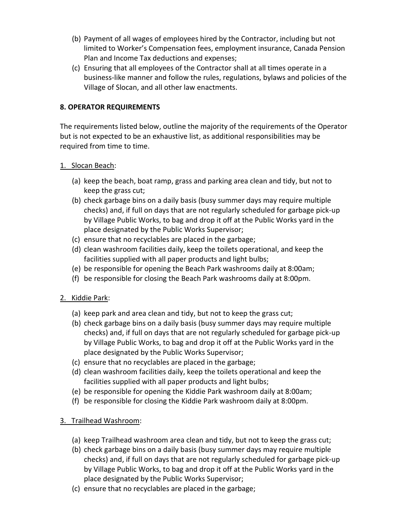- (b) Payment of all wages of employees hired by the Contractor, including but not limited to Worker's Compensation fees, employment insurance, Canada Pension Plan and Income Tax deductions and expenses;
- (c) Ensuring that all employees of the Contractor shall at all times operate in a business-like manner and follow the rules, regulations, bylaws and policies of the Village of Slocan, and all other law enactments.

# **8. OPERATOR REQUIREMENTS**

The requirements listed below, outline the majority of the requirements of the Operator but is not expected to be an exhaustive list, as additional responsibilities may be required from time to time.

# 1. Slocan Beach:

- (a) keep the beach, boat ramp, grass and parking area clean and tidy, but not to keep the grass cut;
- (b) check garbage bins on a daily basis (busy summer days may require multiple checks) and, if full on days that are not regularly scheduled for garbage pick-up by Village Public Works, to bag and drop it off at the Public Works yard in the place designated by the Public Works Supervisor;
- (c) ensure that no recyclables are placed in the garbage;
- (d) clean washroom facilities daily, keep the toilets operational, and keep the facilities supplied with all paper products and light bulbs;
- (e) be responsible for opening the Beach Park washrooms daily at 8:00am;
- (f) be responsible for closing the Beach Park washrooms daily at 8:00pm.
- 2. Kiddie Park:
	- (a) keep park and area clean and tidy, but not to keep the grass cut;
	- (b) check garbage bins on a daily basis (busy summer days may require multiple checks) and, if full on days that are not regularly scheduled for garbage pick-up by Village Public Works, to bag and drop it off at the Public Works yard in the place designated by the Public Works Supervisor;
	- (c) ensure that no recyclables are placed in the garbage;
	- (d) clean washroom facilities daily, keep the toilets operational and keep the facilities supplied with all paper products and light bulbs;
	- (e) be responsible for opening the Kiddie Park washroom daily at 8:00am;
	- (f) be responsible for closing the Kiddie Park washroom daily at 8:00pm.
- 3. Trailhead Washroom:
	- (a) keep Trailhead washroom area clean and tidy, but not to keep the grass cut;
	- (b) check garbage bins on a daily basis (busy summer days may require multiple checks) and, if full on days that are not regularly scheduled for garbage pick-up by Village Public Works, to bag and drop it off at the Public Works yard in the place designated by the Public Works Supervisor;
	- (c) ensure that no recyclables are placed in the garbage;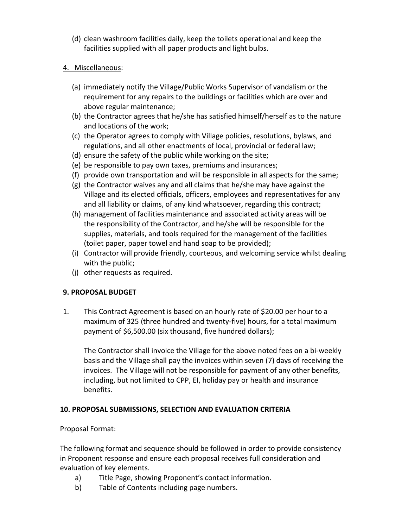- (d) clean washroom facilities daily, keep the toilets operational and keep the facilities supplied with all paper products and light bulbs.
- 4. Miscellaneous:
	- (a) immediately notify the Village/Public Works Supervisor of vandalism or the requirement for any repairs to the buildings or facilities which are over and above regular maintenance;
	- (b) the Contractor agrees that he/she has satisfied himself/herself as to the nature and locations of the work;
	- (c) the Operator agrees to comply with Village policies, resolutions, bylaws, and regulations, and all other enactments of local, provincial or federal law;
	- (d) ensure the safety of the public while working on the site;
	- (e) be responsible to pay own taxes, premiums and insurances;
	- (f) provide own transportation and will be responsible in all aspects for the same;
	- (g) the Contractor waives any and all claims that he/she may have against the Village and its elected officials, officers, employees and representatives for any and all liability or claims, of any kind whatsoever, regarding this contract;
	- (h) management of facilities maintenance and associated activity areas will be the responsibility of the Contractor, and he/she will be responsible for the supplies, materials, and tools required for the management of the facilities (toilet paper, paper towel and hand soap to be provided);
	- (i) Contractor will provide friendly, courteous, and welcoming service whilst dealing with the public;
	- (j) other requests as required.

# **9. PROPOSAL BUDGET**

1. This Contract Agreement is based on an hourly rate of \$20.00 per hour to a maximum of 325 (three hundred and twenty-five) hours, for a total maximum payment of \$6,500.00 (six thousand, five hundred dollars);

The Contractor shall invoice the Village for the above noted fees on a bi-weekly basis and the Village shall pay the invoices within seven (7) days of receiving the invoices. The Village will not be responsible for payment of any other benefits, including, but not limited to CPP, EI, holiday pay or health and insurance benefits.

# **10. PROPOSAL SUBMISSIONS, SELECTION AND EVALUATION CRITERIA**

Proposal Format:

The following format and sequence should be followed in order to provide consistency in Proponent response and ensure each proposal receives full consideration and evaluation of key elements.

- a) Title Page, showing Proponent's contact information.
- b) Table of Contents including page numbers.